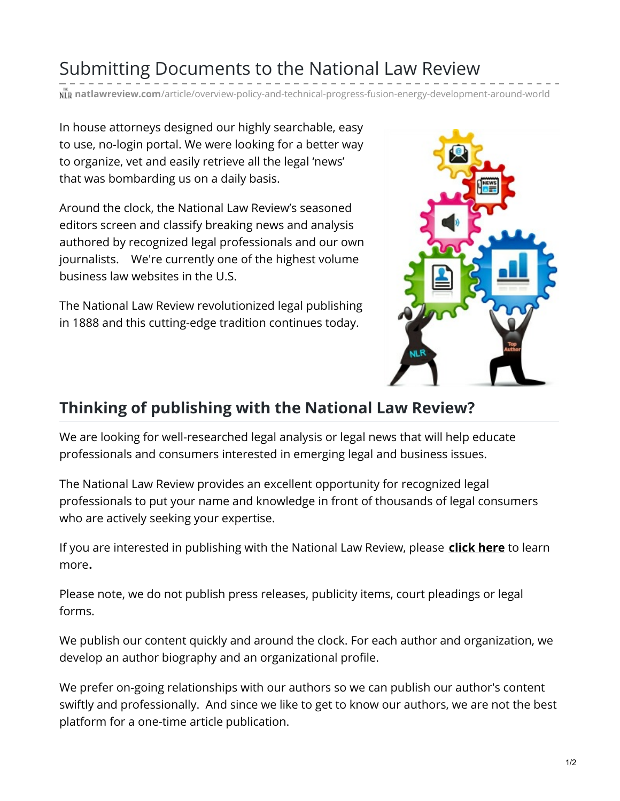## Submitting Documents to the National Law Review

**natlawreview.com**[/article/overview-policy-and-technical-progress-fusion-energy-development-around-world](https://www.natlawreview.com/article/overview-policy-and-technical-progress-fusion-energy-development-around-world)

In house attorneys designed our highly searchable, easy to use, no-login portal. We were looking for a better way to organize, vet and easily retrieve all the legal 'news' that was bombarding us on a daily basis.

Around the clock, the National Law Review's seasoned editors screen and classify breaking news and analysis authored by recognized legal professionals and our own journalists. We're currently one of the highest volume business law websites in the U.S.

The National Law Review revolutionized legal publishing in 1888 and this cutting-edge tradition continues today.



## **Thinking of publishing with the National Law Review?**

We are looking for well-researched legal analysis or legal news that will help educate professionals and consumers interested in emerging legal and business issues.

The National Law Review provides an excellent opportunity for recognized legal professionals to put your name and knowledge in front of thousands of legal consumers who are actively seeking your expertise.

If you are interested in publishing with the National Law Review, please **[click](https://www.natlawreview.com/publishing-national-law-review-national-law-s-review-editorial-guidelines) here** to learn more**.**

Please note, we do not publish press releases, publicity items, court pleadings or legal forms.

We publish our content quickly and around the clock. For each author and organization, we develop an author biography and an organizational profile.

We prefer on-going relationships with our authors so we can publish our author's content swiftly and professionally. And since we like to get to know our authors, we are not the best platform for a one-time article publication.